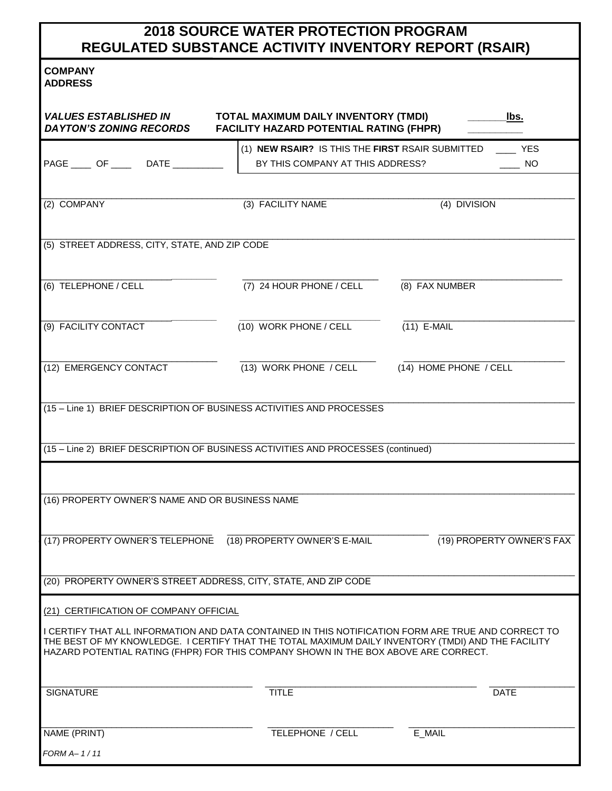## **2018 SOURCE WATER PROTECTION PROGRAM REGULATED SUBSTANCE ACTIVITY INVENTORY REPORT (RSAIR)**

## **COMPANY**

| <b>ADDRESS</b>                                                                                                                                                                            |                                                                                        |                           |  |  |  |  |
|-------------------------------------------------------------------------------------------------------------------------------------------------------------------------------------------|----------------------------------------------------------------------------------------|---------------------------|--|--|--|--|
| <b>VALUES ESTABLISHED IN</b><br><b>DAYTON'S ZONING RECORDS</b>                                                                                                                            | TOTAL MAXIMUM DAILY INVENTORY (TMDI)<br><b>FACILITY HAZARD POTENTIAL RATING (FHPR)</b> | lbs.                      |  |  |  |  |
|                                                                                                                                                                                           | (1) NEW RSAIR? IS THIS THE FIRST RSAIR SUBMITTED                                       | <b>EXAMPLE</b>            |  |  |  |  |
| PAGE _____ OF _____ DATE _________                                                                                                                                                        | BY THIS COMPANY AT THIS ADDRESS?                                                       | NO.                       |  |  |  |  |
|                                                                                                                                                                                           |                                                                                        |                           |  |  |  |  |
| (2) COMPANY                                                                                                                                                                               | (3) FACILITY NAME                                                                      | (4) DIVISION              |  |  |  |  |
|                                                                                                                                                                                           |                                                                                        |                           |  |  |  |  |
| (5) STREET ADDRESS, CITY, STATE, AND ZIP CODE                                                                                                                                             |                                                                                        |                           |  |  |  |  |
|                                                                                                                                                                                           |                                                                                        |                           |  |  |  |  |
| (6) TELEPHONE / CELL                                                                                                                                                                      | (7) 24 HOUR PHONE / CELL                                                               | (8) FAX NUMBER            |  |  |  |  |
|                                                                                                                                                                                           |                                                                                        |                           |  |  |  |  |
| (9) FACILITY CONTACT                                                                                                                                                                      | (10) WORK PHONE / CELL                                                                 | $(11)$ E-MAIL             |  |  |  |  |
| (12) EMERGENCY CONTACT                                                                                                                                                                    |                                                                                        |                           |  |  |  |  |
|                                                                                                                                                                                           | (13) WORK PHONE / CELL                                                                 | (14) HOME PHONE / CELL    |  |  |  |  |
| (15 – Line 1) BRIEF DESCRIPTION OF BUSINESS ACTIVITIES AND PROCESSES                                                                                                                      |                                                                                        |                           |  |  |  |  |
|                                                                                                                                                                                           |                                                                                        |                           |  |  |  |  |
| (15 - Line 2) BRIEF DESCRIPTION OF BUSINESS ACTIVITIES AND PROCESSES (continued)                                                                                                          |                                                                                        |                           |  |  |  |  |
|                                                                                                                                                                                           |                                                                                        |                           |  |  |  |  |
|                                                                                                                                                                                           |                                                                                        |                           |  |  |  |  |
| (16) PROPERTY OWNER'S NAME AND OR BUSINESS NAME                                                                                                                                           |                                                                                        |                           |  |  |  |  |
|                                                                                                                                                                                           |                                                                                        |                           |  |  |  |  |
| (17) PROPERTY OWNER'S TELEPHONE (18) PROPERTY OWNER'S E-MAIL                                                                                                                              |                                                                                        | (19) PROPERTY OWNER'S FAX |  |  |  |  |
|                                                                                                                                                                                           |                                                                                        |                           |  |  |  |  |
| (20) PROPERTY OWNER'S STREET ADDRESS, CITY, STATE, AND ZIP CODE                                                                                                                           |                                                                                        |                           |  |  |  |  |
| (21) CERTIFICATION OF COMPANY OFFICIAL                                                                                                                                                    |                                                                                        |                           |  |  |  |  |
| I CERTIFY THAT ALL INFORMATION AND DATA CONTAINED IN THIS NOTIFICATION FORM ARE TRUE AND CORRECT TO                                                                                       |                                                                                        |                           |  |  |  |  |
| THE BEST OF MY KNOWLEDGE. I CERTIFY THAT THE TOTAL MAXIMUM DAILY INVENTORY (TMDI) AND THE FACILITY<br>HAZARD POTENTIAL RATING (FHPR) FOR THIS COMPANY SHOWN IN THE BOX ABOVE ARE CORRECT. |                                                                                        |                           |  |  |  |  |
|                                                                                                                                                                                           |                                                                                        |                           |  |  |  |  |
| <b>SIGNATURE</b>                                                                                                                                                                          | <b>TITLE</b>                                                                           | <b>DATE</b>               |  |  |  |  |
|                                                                                                                                                                                           |                                                                                        |                           |  |  |  |  |
| NAME (PRINT)                                                                                                                                                                              | TELEPHONE / CELL                                                                       | E_MAIL                    |  |  |  |  |
| FORM A– 1 / 11                                                                                                                                                                            |                                                                                        |                           |  |  |  |  |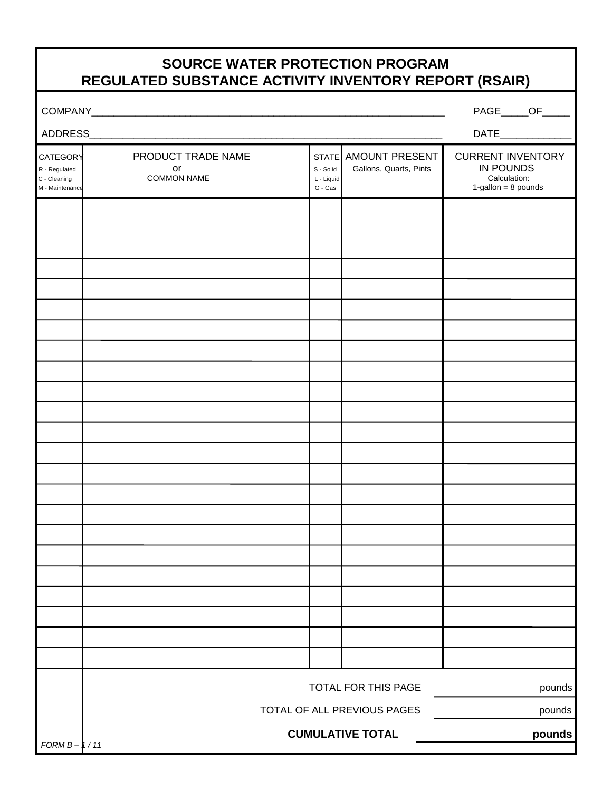## **SOURCE WATER PROTECTION PROGRAM REGULATED SUBSTANCE ACTIVITY INVENTORY REPORT (RSAIR)**

| <b>COMPANY</b> |  |
|----------------|--|
|                |  |

COMPANY\_\_\_\_\_\_\_\_\_\_\_\_\_\_\_\_\_\_\_\_\_\_\_\_\_\_\_\_\_\_\_\_\_\_\_\_\_\_\_\_\_\_\_\_\_\_\_\_\_\_\_\_\_\_\_\_\_\_\_\_\_\_\_\_ PAGE\_\_\_\_\_OF\_\_\_\_\_

| ADDRESS                                                      |                                                    |                                                                            |                                          |                                                                                 |
|--------------------------------------------------------------|----------------------------------------------------|----------------------------------------------------------------------------|------------------------------------------|---------------------------------------------------------------------------------|
| CATEGORY<br>R - Regulated<br>C - Cleaning<br>M - Maintenance | PRODUCT TRADE NAME<br>or<br><b>COMMON NAME</b>     | <b>STATE</b><br>S - Solid<br>L - Liquid<br>${\mathsf G}$ - ${\mathsf G}$ s | AMOUNT PRESENT<br>Gallons, Quarts, Pints | <b>CURRENT INVENTORY</b><br>IN POUNDS<br>Calculation:<br>$1$ -gallon = 8 pounds |
|                                                              |                                                    |                                                                            |                                          |                                                                                 |
|                                                              |                                                    |                                                                            |                                          |                                                                                 |
|                                                              |                                                    |                                                                            |                                          |                                                                                 |
|                                                              |                                                    |                                                                            |                                          |                                                                                 |
|                                                              |                                                    |                                                                            |                                          |                                                                                 |
|                                                              |                                                    |                                                                            |                                          |                                                                                 |
|                                                              |                                                    |                                                                            |                                          |                                                                                 |
|                                                              |                                                    |                                                                            |                                          |                                                                                 |
|                                                              |                                                    |                                                                            |                                          |                                                                                 |
|                                                              |                                                    |                                                                            |                                          |                                                                                 |
|                                                              |                                                    |                                                                            |                                          |                                                                                 |
|                                                              |                                                    |                                                                            |                                          |                                                                                 |
|                                                              |                                                    |                                                                            |                                          |                                                                                 |
|                                                              |                                                    |                                                                            |                                          |                                                                                 |
|                                                              |                                                    |                                                                            |                                          |                                                                                 |
|                                                              |                                                    |                                                                            |                                          |                                                                                 |
|                                                              |                                                    |                                                                            |                                          |                                                                                 |
|                                                              |                                                    |                                                                            |                                          |                                                                                 |
|                                                              |                                                    |                                                                            |                                          |                                                                                 |
|                                                              |                                                    |                                                                            |                                          |                                                                                 |
|                                                              |                                                    |                                                                            |                                          |                                                                                 |
|                                                              |                                                    |                                                                            |                                          |                                                                                 |
|                                                              |                                                    |                                                                            |                                          |                                                                                 |
|                                                              | TOTAL FOR THIS PAGE<br>TOTAL OF ALL PREVIOUS PAGES |                                                                            |                                          | pounds                                                                          |
|                                                              |                                                    |                                                                            |                                          | pounds                                                                          |
|                                                              |                                                    |                                                                            | <b>CUMULATIVE TOTAL</b>                  | pounds                                                                          |
| $FORMB - 1/11$                                               |                                                    |                                                                            |                                          |                                                                                 |